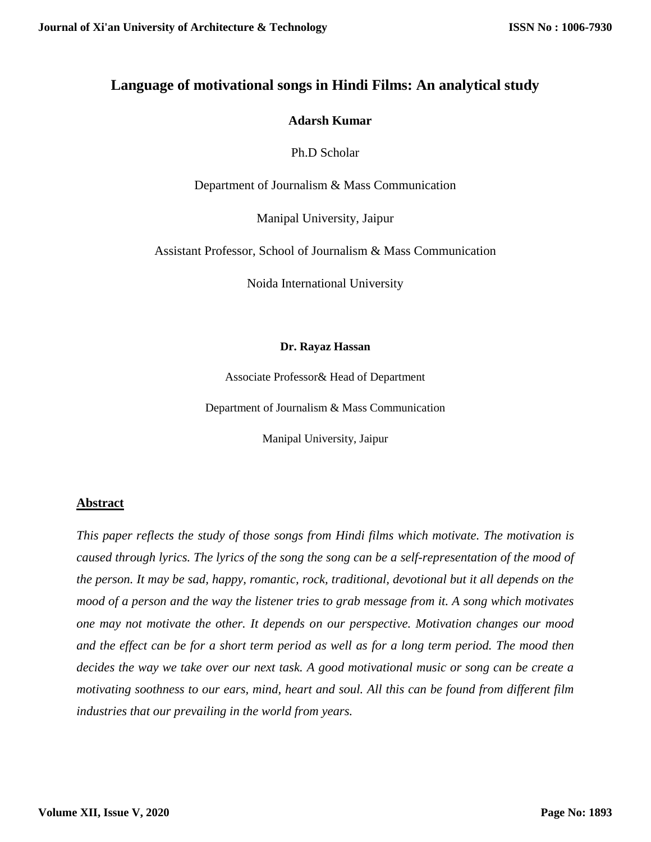## **Language of motivational songs in Hindi Films: An analytical study**

#### **Adarsh Kumar**

Ph.D Scholar

Department of Journalism & Mass Communication

Manipal University, Jaipur

Assistant Professor, School of Journalism & Mass Communication

Noida International University

#### **Dr. Rayaz Hassan**

Associate Professor& Head of Department

Department of Journalism & Mass Communication

Manipal University, Jaipur

#### **Abstract**

*This paper reflects the study of those songs from Hindi films which motivate. The motivation is caused through lyrics. The lyrics of the song the song can be a self-representation of the mood of the person. It may be sad, happy, romantic, rock, traditional, devotional but it all depends on the mood of a person and the way the listener tries to grab message from it. A song which motivates one may not motivate the other. It depends on our perspective. Motivation changes our mood and the effect can be for a short term period as well as for a long term period. The mood then decides the way we take over our next task. A good motivational music or song can be create a motivating soothness to our ears, mind, heart and soul. All this can be found from different film industries that our prevailing in the world from years.*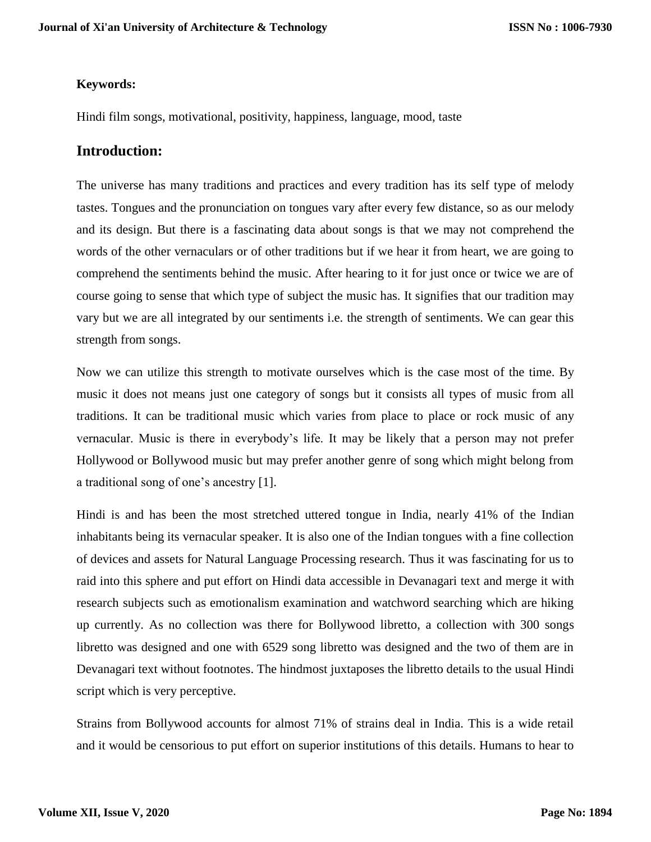#### **Keywords:**

Hindi film songs, motivational, positivity, happiness, language, mood, taste

### **Introduction:**

The universe has many traditions and practices and every tradition has its self type of melody tastes. Tongues and the pronunciation on tongues vary after every few distance, so as our melody and its design. But there is a fascinating data about songs is that we may not comprehend the words of the other vernaculars or of other traditions but if we hear it from heart, we are going to comprehend the sentiments behind the music. After hearing to it for just once or twice we are of course going to sense that which type of subject the music has. It signifies that our tradition may vary but we are all integrated by our sentiments i.e. the strength of sentiments. We can gear this strength from songs.

Now we can utilize this strength to motivate ourselves which is the case most of the time. By music it does not means just one category of songs but it consists all types of music from all traditions. It can be traditional music which varies from place to place or rock music of any vernacular. Music is there in everybody's life. It may be likely that a person may not prefer Hollywood or Bollywood music but may prefer another genre of song which might belong from a traditional song of one's ancestry [1].

Hindi is and has been the most stretched uttered tongue in India, nearly 41% of the Indian inhabitants being its vernacular speaker. It is also one of the Indian tongues with a fine collection of devices and assets for Natural Language Processing research. Thus it was fascinating for us to raid into this sphere and put effort on Hindi data accessible in Devanagari text and merge it with research subjects such as emotionalism examination and watchword searching which are hiking up currently. As no collection was there for Bollywood libretto, a collection with 300 songs libretto was designed and one with 6529 song libretto was designed and the two of them are in Devanagari text without footnotes. The hindmost juxtaposes the libretto details to the usual Hindi script which is very perceptive.

Strains from Bollywood accounts for almost 71% of strains deal in India. This is a wide retail and it would be censorious to put effort on superior institutions of this details. Humans to hear to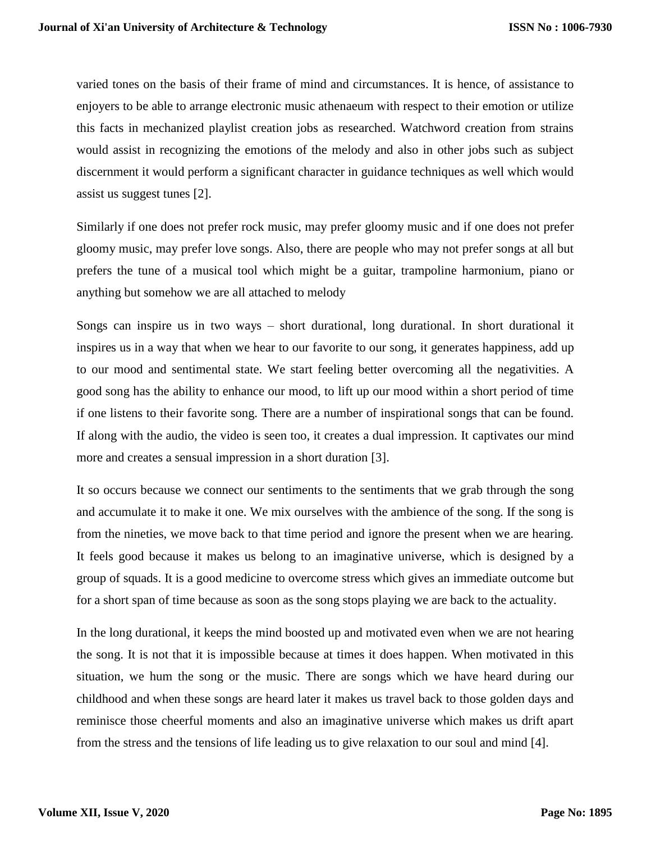varied tones on the basis of their frame of mind and circumstances. It is hence, of assistance to enjoyers to be able to arrange electronic music athenaeum with respect to their emotion or utilize this facts in mechanized playlist creation jobs as researched. Watchword creation from strains would assist in recognizing the emotions of the melody and also in other jobs such as subject discernment it would perform a significant character in guidance techniques as well which would assist us suggest tunes [2].

Similarly if one does not prefer rock music, may prefer gloomy music and if one does not prefer gloomy music, may prefer love songs. Also, there are people who may not prefer songs at all but prefers the tune of a musical tool which might be a guitar, trampoline harmonium, piano or anything but somehow we are all attached to melody

Songs can inspire us in two ways – short durational, long durational. In short durational it inspires us in a way that when we hear to our favorite to our song, it generates happiness, add up to our mood and sentimental state. We start feeling better overcoming all the negativities. A good song has the ability to enhance our mood, to lift up our mood within a short period of time if one listens to their favorite song. There are a number of inspirational songs that can be found. If along with the audio, the video is seen too, it creates a dual impression. It captivates our mind more and creates a sensual impression in a short duration [3].

It so occurs because we connect our sentiments to the sentiments that we grab through the song and accumulate it to make it one. We mix ourselves with the ambience of the song. If the song is from the nineties, we move back to that time period and ignore the present when we are hearing. It feels good because it makes us belong to an imaginative universe, which is designed by a group of squads. It is a good medicine to overcome stress which gives an immediate outcome but for a short span of time because as soon as the song stops playing we are back to the actuality.

In the long durational, it keeps the mind boosted up and motivated even when we are not hearing the song. It is not that it is impossible because at times it does happen. When motivated in this situation, we hum the song or the music. There are songs which we have heard during our childhood and when these songs are heard later it makes us travel back to those golden days and reminisce those cheerful moments and also an imaginative universe which makes us drift apart from the stress and the tensions of life leading us to give relaxation to our soul and mind [4].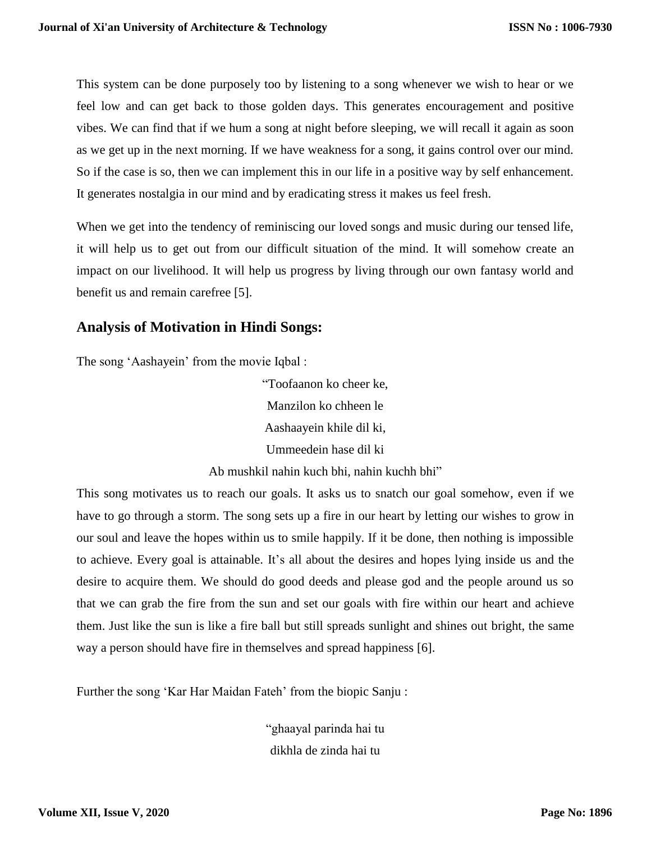This system can be done purposely too by listening to a song whenever we wish to hear or we feel low and can get back to those golden days. This generates encouragement and positive vibes. We can find that if we hum a song at night before sleeping, we will recall it again as soon as we get up in the next morning. If we have weakness for a song, it gains control over our mind. So if the case is so, then we can implement this in our life in a positive way by self enhancement. It generates nostalgia in our mind and by eradicating stress it makes us feel fresh.

When we get into the tendency of reminiscing our loved songs and music during our tensed life, it will help us to get out from our difficult situation of the mind. It will somehow create an impact on our livelihood. It will help us progress by living through our own fantasy world and benefit us and remain carefree [5].

# **Analysis of Motivation in Hindi Songs:**

The song 'Aashayein' from the movie Iqbal :

"Toofaanon ko cheer ke, Manzilon ko chheen le Aashaayein khile dil ki, Ummeedein hase dil ki

Ab mushkil nahin kuch bhi, nahin kuchh bhi"

This song motivates us to reach our goals. It asks us to snatch our goal somehow, even if we have to go through a storm. The song sets up a fire in our heart by letting our wishes to grow in our soul and leave the hopes within us to smile happily. If it be done, then nothing is impossible to achieve. Every goal is attainable. It's all about the desires and hopes lying inside us and the desire to acquire them. We should do good deeds and please god and the people around us so that we can grab the fire from the sun and set our goals with fire within our heart and achieve them. Just like the sun is like a fire ball but still spreads sunlight and shines out bright, the same way a person should have fire in themselves and spread happiness [6].

Further the song 'Kar Har Maidan Fateh' from the biopic Sanju :

"ghaayal parinda hai tu dikhla de zinda hai tu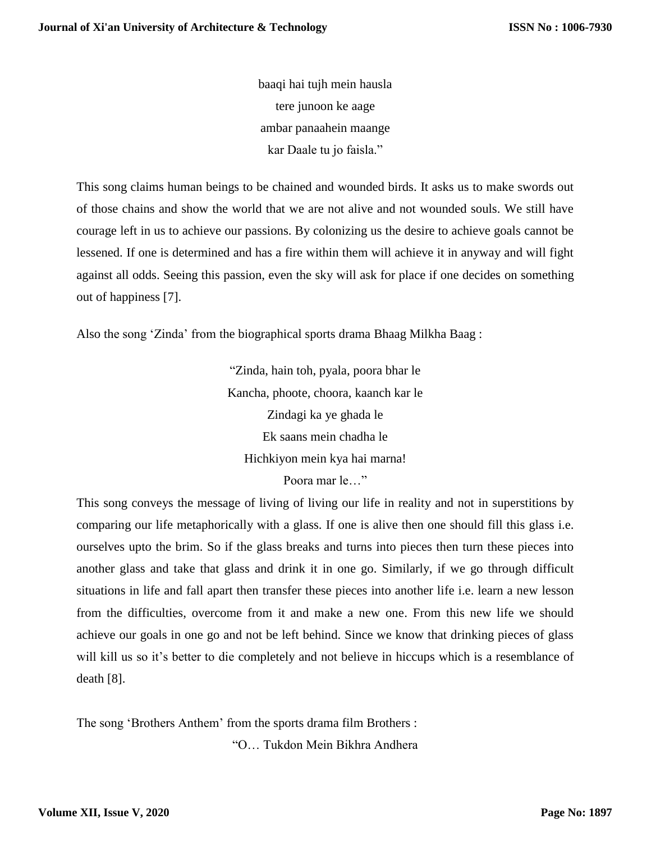baaqi hai tujh mein hausla tere junoon ke aage ambar panaahein maange kar Daale tu jo faisla."

This song claims human beings to be chained and wounded birds. It asks us to make swords out of those chains and show the world that we are not alive and not wounded souls. We still have courage left in us to achieve our passions. By colonizing us the desire to achieve goals cannot be lessened. If one is determined and has a fire within them will achieve it in anyway and will fight against all odds. Seeing this passion, even the sky will ask for place if one decides on something out of happiness [7].

Also the song 'Zinda' from the biographical sports drama Bhaag Milkha Baag :

"Zinda, hain toh, pyala, poora bhar le Kancha, phoote, choora, kaanch kar le Zindagi ka ye ghada le Ek saans mein chadha le Hichkiyon mein kya hai marna! Poora mar le…"

This song conveys the message of living of living our life in reality and not in superstitions by comparing our life metaphorically with a glass. If one is alive then one should fill this glass i.e. ourselves upto the brim. So if the glass breaks and turns into pieces then turn these pieces into another glass and take that glass and drink it in one go. Similarly, if we go through difficult situations in life and fall apart then transfer these pieces into another life i.e. learn a new lesson from the difficulties, overcome from it and make a new one. From this new life we should achieve our goals in one go and not be left behind. Since we know that drinking pieces of glass will kill us so it's better to die completely and not believe in hiccups which is a resemblance of death [8].

The song 'Brothers Anthem' from the sports drama film Brothers : "O… Tukdon Mein Bikhra Andhera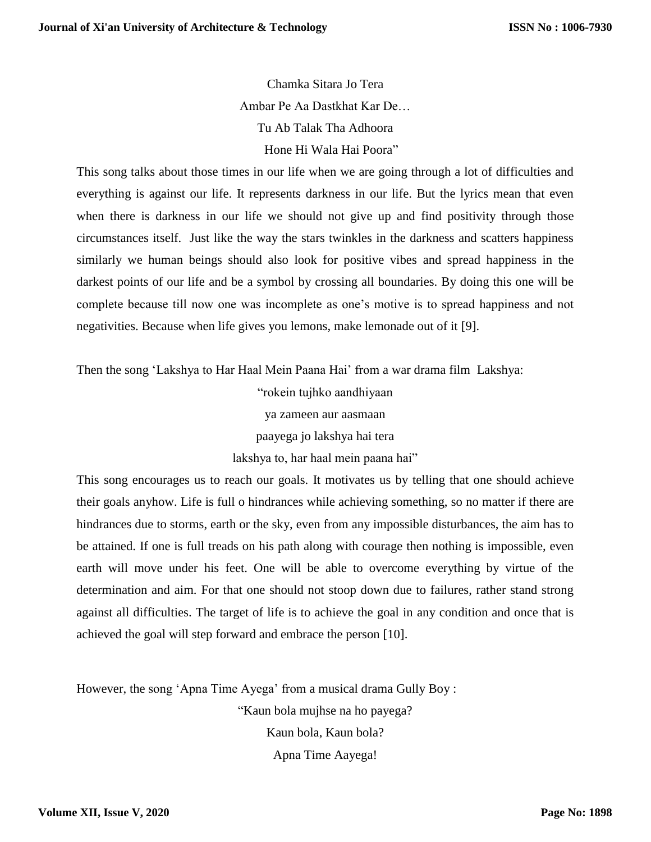Chamka Sitara Jo Tera Ambar Pe Aa Dastkhat Kar De… Tu Ab Talak Tha Adhoora Hone Hi Wala Hai Poora"

This song talks about those times in our life when we are going through a lot of difficulties and everything is against our life. It represents darkness in our life. But the lyrics mean that even when there is darkness in our life we should not give up and find positivity through those circumstances itself. Just like the way the stars twinkles in the darkness and scatters happiness similarly we human beings should also look for positive vibes and spread happiness in the darkest points of our life and be a symbol by crossing all boundaries. By doing this one will be complete because till now one was incomplete as one's motive is to spread happiness and not negativities. Because when life gives you lemons, make lemonade out of it [9].

Then the song 'Lakshya to Har Haal Mein Paana Hai' from a war drama film Lakshya:

"rokein tujhko aandhiyaan

ya zameen aur aasmaan

paayega jo lakshya hai tera

lakshya to, har haal mein paana hai"

This song encourages us to reach our goals. It motivates us by telling that one should achieve their goals anyhow. Life is full o hindrances while achieving something, so no matter if there are hindrances due to storms, earth or the sky, even from any impossible disturbances, the aim has to be attained. If one is full treads on his path along with courage then nothing is impossible, even earth will move under his feet. One will be able to overcome everything by virtue of the determination and aim. For that one should not stoop down due to failures, rather stand strong against all difficulties. The target of life is to achieve the goal in any condition and once that is achieved the goal will step forward and embrace the person [10].

However, the song 'Apna Time Ayega' from a musical drama Gully Boy :

"Kaun bola mujhse na ho payega? Kaun bola, Kaun bola? Apna Time Aayega!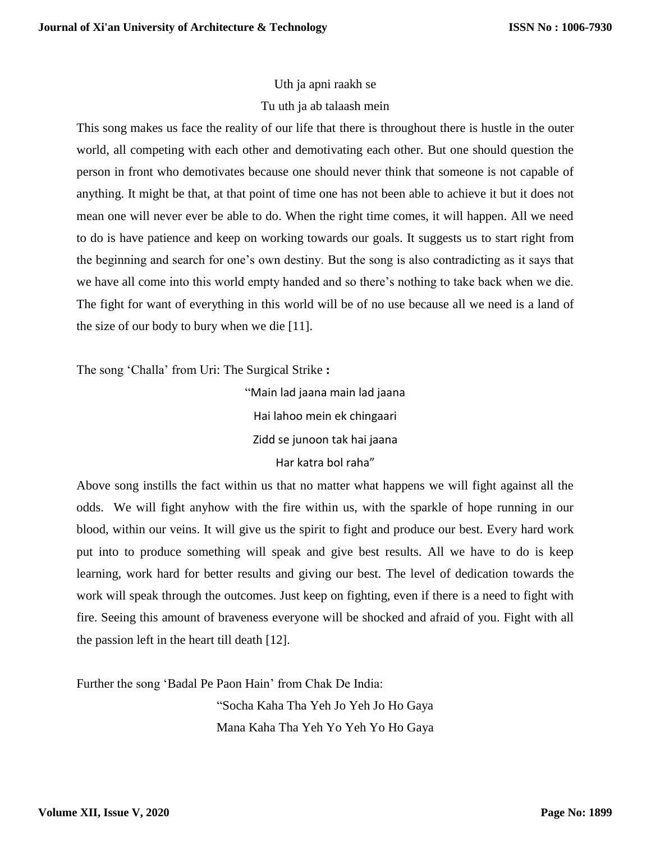# Uth ja apni raakh se Tu uth ja ab talaash mein

This song makes us face the reality of our life that there is throughout there is hustle in the outer world, all competing with each other and demotivating each other. But one should question the person in front who demotivates because one should never think that someone is not capable of anything. It might be that, at that point of time one has not been able to achieve it but it does not mean one will never ever be able to do. When the right time comes, it will happen. All we need to do is have patience and keep on working towards our goals. It suggests us to start right from the beginning and search for one's own destiny. But the song is also contradicting as it says that we have all come into this world empty handed and so there's nothing to take back when we die. The fight for want of everything in this world will be of no use because all we need is a land of the size of our body to bury when we die [11].

The song 'Challa' from Uri: The Surgical Strike **:**

"Main lad jaana main lad jaana Hai lahoo mein ek chingaari Zidd se junoon tak hai jaana Har katra bol raha"

Above song instills the fact within us that no matter what happens we will fight against all the odds. We will fight anyhow with the fire within us, with the sparkle of hope running in our blood, within our veins. It will give us the spirit to fight and produce our best. Every hard work put into to produce something will speak and give best results. All we have to do is keep learning, work hard for better results and giving our best. The level of dedication towards the work will speak through the outcomes. Just keep on fighting, even if there is a need to fight with fire. Seeing this amount of braveness everyone will be shocked and afraid of you. Fight with all the passion left in the heart till death [12].

Further the song 'Badal Pe Paon Hain' from Chak De India:

"Socha Kaha Tha Yeh Jo Yeh Jo Ho Gaya Mana Kaha Tha Yeh Yo Yeh Yo Ho Gaya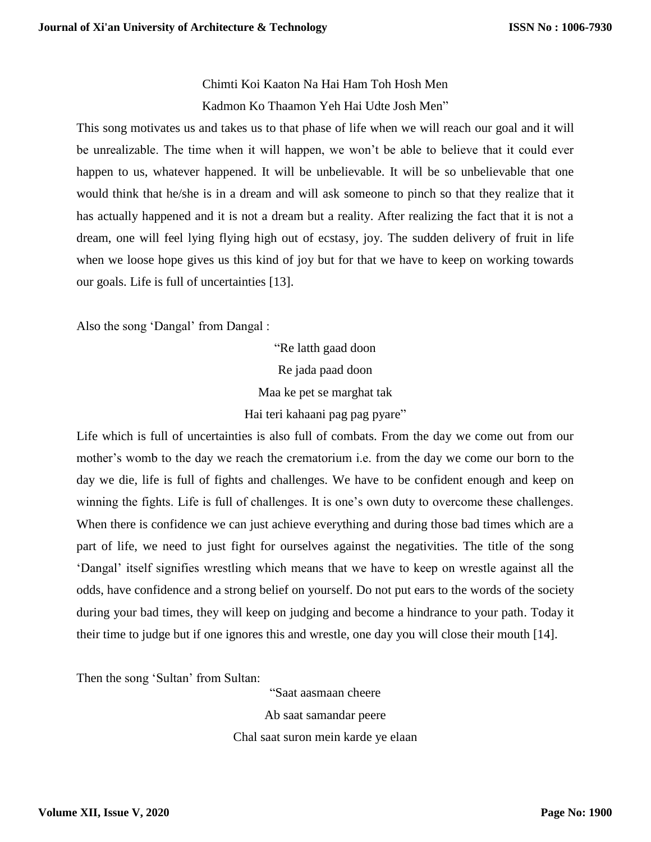Chimti Koi Kaaton Na Hai Ham Toh Hosh Men Kadmon Ko Thaamon Yeh Hai Udte Josh Men"

This song motivates us and takes us to that phase of life when we will reach our goal and it will be unrealizable. The time when it will happen, we won't be able to believe that it could ever happen to us, whatever happened. It will be unbelievable. It will be so unbelievable that one would think that he/she is in a dream and will ask someone to pinch so that they realize that it has actually happened and it is not a dream but a reality. After realizing the fact that it is not a dream, one will feel lying flying high out of ecstasy, joy. The sudden delivery of fruit in life when we loose hope gives us this kind of joy but for that we have to keep on working towards our goals. Life is full of uncertainties [13].

Also the song 'Dangal' from Dangal :

"Re latth gaad doon Re jada paad doon Maa ke pet se marghat tak Hai teri kahaani pag pag pyare"

Life which is full of uncertainties is also full of combats. From the day we come out from our mother's womb to the day we reach the crematorium i.e. from the day we come our born to the day we die, life is full of fights and challenges. We have to be confident enough and keep on winning the fights. Life is full of challenges. It is one's own duty to overcome these challenges. When there is confidence we can just achieve everything and during those bad times which are a part of life, we need to just fight for ourselves against the negativities. The title of the song 'Dangal' itself signifies wrestling which means that we have to keep on wrestle against all the odds, have confidence and a strong belief on yourself. Do not put ears to the words of the society during your bad times, they will keep on judging and become a hindrance to your path. Today it their time to judge but if one ignores this and wrestle, one day you will close their mouth [14].

Then the song 'Sultan' from Sultan:

"Saat aasmaan cheere Ab saat samandar peere

Chal saat suron mein karde ye elaan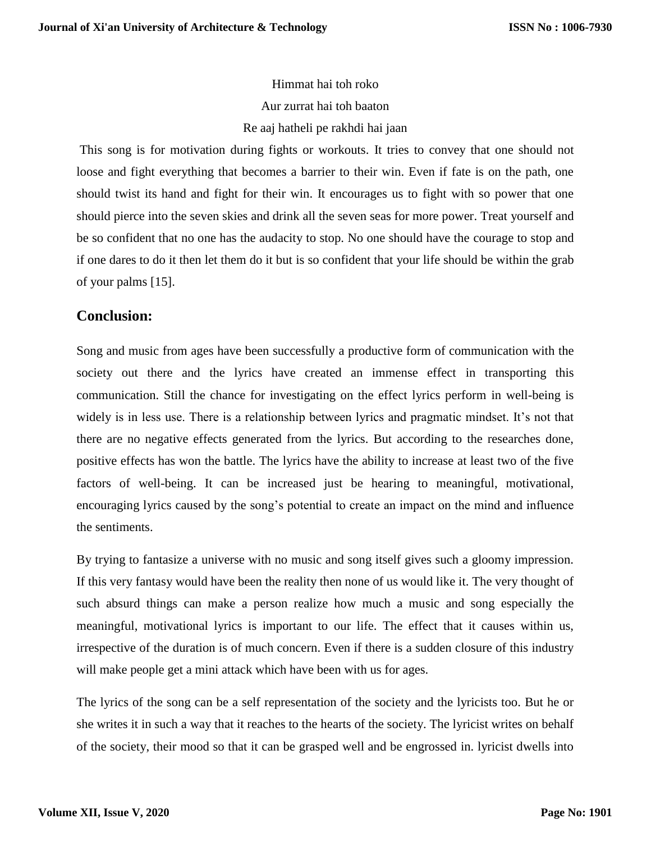Himmat hai toh roko Aur zurrat hai toh baaton Re aaj hatheli pe rakhdi hai jaan

This song is for motivation during fights or workouts. It tries to convey that one should not loose and fight everything that becomes a barrier to their win. Even if fate is on the path, one should twist its hand and fight for their win. It encourages us to fight with so power that one should pierce into the seven skies and drink all the seven seas for more power. Treat yourself and be so confident that no one has the audacity to stop. No one should have the courage to stop and if one dares to do it then let them do it but is so confident that your life should be within the grab of your palms [15].

## **Conclusion:**

Song and music from ages have been successfully a productive form of communication with the society out there and the lyrics have created an immense effect in transporting this communication. Still the chance for investigating on the effect lyrics perform in well-being is widely is in less use. There is a relationship between lyrics and pragmatic mindset. It's not that there are no negative effects generated from the lyrics. But according to the researches done, positive effects has won the battle. The lyrics have the ability to increase at least two of the five factors of well-being. It can be increased just be hearing to meaningful, motivational, encouraging lyrics caused by the song's potential to create an impact on the mind and influence the sentiments.

By trying to fantasize a universe with no music and song itself gives such a gloomy impression. If this very fantasy would have been the reality then none of us would like it. The very thought of such absurd things can make a person realize how much a music and song especially the meaningful, motivational lyrics is important to our life. The effect that it causes within us, irrespective of the duration is of much concern. Even if there is a sudden closure of this industry will make people get a mini attack which have been with us for ages.

The lyrics of the song can be a self representation of the society and the lyricists too. But he or she writes it in such a way that it reaches to the hearts of the society. The lyricist writes on behalf of the society, their mood so that it can be grasped well and be engrossed in. lyricist dwells into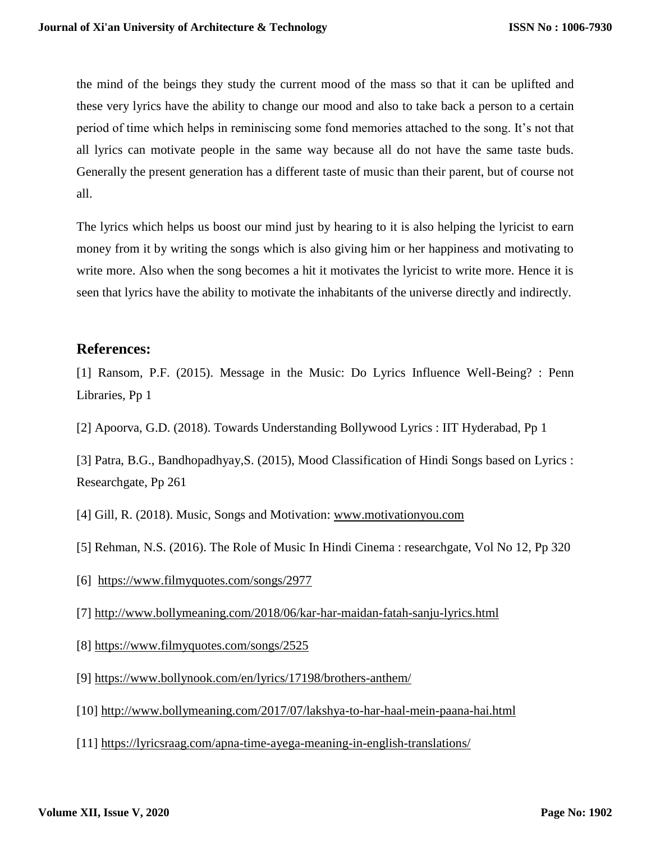the mind of the beings they study the current mood of the mass so that it can be uplifted and these very lyrics have the ability to change our mood and also to take back a person to a certain period of time which helps in reminiscing some fond memories attached to the song. It's not that all lyrics can motivate people in the same way because all do not have the same taste buds. Generally the present generation has a different taste of music than their parent, but of course not all.

The lyrics which helps us boost our mind just by hearing to it is also helping the lyricist to earn money from it by writing the songs which is also giving him or her happiness and motivating to write more. Also when the song becomes a hit it motivates the lyricist to write more. Hence it is seen that lyrics have the ability to motivate the inhabitants of the universe directly and indirectly.

# **References:**

[1] Ransom, P.F. (2015). Message in the Music: Do Lyrics Influence Well-Being? : Penn Libraries, Pp 1

[2] Apoorva, G.D. (2018). Towards Understanding Bollywood Lyrics : IIT Hyderabad, Pp 1

[3] Patra, B.G., Bandhopadhyay,S. (2015), Mood Classification of Hindi Songs based on Lyrics : Researchgate, Pp 261

[4] Gill, R. (2018). Music, Songs and Motivation: [www.motivationyou.com](http://www.motivationyou.com/)

[5] Rehman, N.S. (2016). The Role of Music In Hindi Cinema : researchgate, Vol No 12, Pp 320

[6] <https://www.filmyquotes.com/songs/2977>

[7]<http://www.bollymeaning.com/2018/06/kar-har-maidan-fatah-sanju-lyrics.html>

- [8]<https://www.filmyquotes.com/songs/2525>
- [9]<https://www.bollynook.com/en/lyrics/17198/brothers-anthem/>
- [10]<http://www.bollymeaning.com/2017/07/lakshya-to-har-haal-mein-paana-hai.html>
- [11]<https://lyricsraag.com/apna-time-ayega-meaning-in-english-translations/>